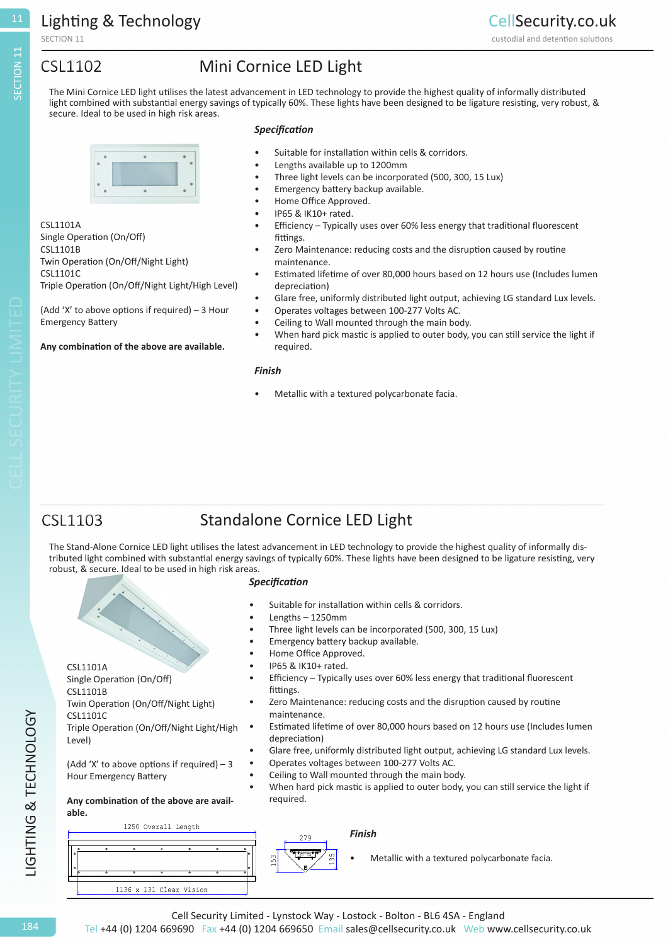SECTION 11

### **CSL1102**

### Mini Cornice LED Light

The Mini Cornice LED light utilises the latest advancement in LED technology to provide the highest quality of informally distributed light combined with substantial energy savings of typically 60%. These lights have been designed to be ligature resisting, very robust, & secure. Ideal to be used in high risk areas.



CSL1101A Single Operation (On/Off) CSL1101B Twin Operation (On/Off/Night Light) CSL1101C Triple Operation (On/Off/Night Light/High Level)

(Add 'X' to above options if required) – 3 Hour Emergency Battery

#### **Any combination of the above are available.**

- *Specification*
- Suitable for installation within cells & corridors.
- Lengths available up to 1200mm
- Three light levels can be incorporated (500, 300, 15 Lux)
- Emergency battery backup available.
- Home Office Approved.
- IP65 & IK10+ rated.
- Efficiency Typically uses over 60% less energy that traditional fluorescent fittings.
- Zero Maintenance: reducing costs and the disruption caused by routine maintenance.
- Estimated lifetime of over 80,000 hours based on 12 hours use (Includes lumen depreciation)
- Glare free, uniformly distributed light output, achieving LG standard Lux levels.
- Operates voltages between 100-277 Volts AC.
- Ceiling to Wall mounted through the main body.
- When hard pick mastic is applied to outer body, you can still service the light if required.

#### *Finish*

Metallic with a textured polycarbonate facia.

### **CSL1103**

CSL1101A

CSL1101B

CSL1101C

Level)

**able.**

Single Operation (On/Off)

Hour Emergency Battery

Twin Operation (On/Off/Night Light)

Triple Operation (On/Off/Night Light/High

(Add 'X' to above options if required)  $-3$ 

**Any combination of the above are avail-**

### Standalone Cornice LED Light

The Stand-Alone Cornice LED light utilises the latest advancement in LED technology to provide the highest quality of informally distributed light combined with substantial energy savings of typically 60%. These lights have been designed to be ligature resisting, very robust, & secure. Ideal to be used in high risk areas.

#### *Specification*

- Suitable for installation within cells & corridors.
- Lengths 1250mm
- Three light levels can be incorporated (500, 300, 15 Lux)
- Emergency battery backup available.
- Home Office Approved.
- IP65 & IK10+ rated.
- Efficiency Typically uses over 60% less energy that traditional fluorescent fittings.
- Zero Maintenance: reducing costs and the disruption caused by routine maintenance.
- Estimated lifetime of over 80,000 hours based on 12 hours use (Includes lumen depreciation)
- Glare free, uniformly distributed light output, achieving LG standard Lux levels.
- Operates voltages between 100-277 Volts AC.
- Ceiling to Wall mounted through the main body.
- When hard pick mastic is applied to outer body, you can still service the light if required.

# 1250 Overall Length 1136 x 131 Clear Vision





Metallic with a textured polycarbonate facia.

SECTION 11

11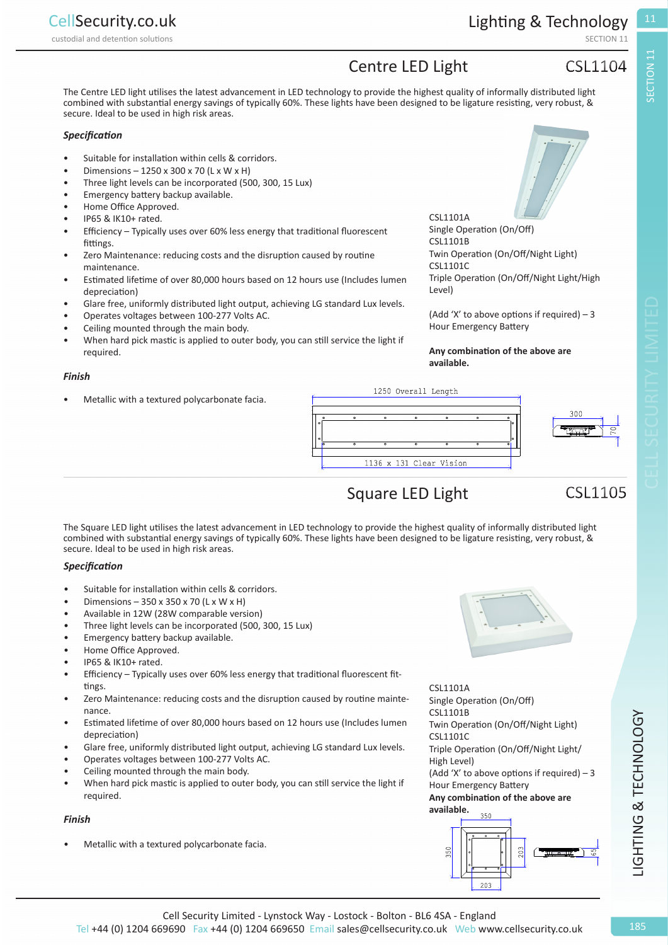custodial and detention solutions **SECTION 11** and detention solutions **SECTION** 11

SECTION 11

**SECTION 11** 

### Centre LED Light

### **CSL1104**

The Centre LED light utilises the latest advancement in LED technology to provide the highest quality of informally distributed light combined with substantial energy savings of typically 60%. These lights have been designed to be ligature resisting, very robust, & secure. Ideal to be used in high risk areas.

#### *Specification*

- Suitable for installation within cells & corridors.
- Dimensions 1250 x 300 x 70 (L x W x H)
- Three light levels can be incorporated (500, 300, 15 Lux)
- Emergency battery backup available.
- Home Office Approved.
- IP65 & IK10+ rated.
- Efficiency Typically uses over 60% less energy that traditional fluorescent fittings.
- Zero Maintenance: reducing costs and the disruption caused by routine maintenance.
- Estimated lifetime of over 80,000 hours based on 12 hours use (Includes lumen depreciation)
- Glare free, uniformly distributed light output, achieving LG standard Lux levels.
- Operates voltages between 100-277 Volts AC.
- Ceiling mounted through the main body.
- When hard pick mastic is applied to outer body, you can still service the light if required.

#### *Finish*

• Metallic with a textured polycarbonate facia.

CSL1101A Single Operation (On/Off) CSL1101B Twin Operation (On/Off/Night Light) CSL1101C Triple Operation (On/Off/Night Light/High Level)

(Add 'X' to above options if required)  $-3$ Hour Emergency Battery

#### **Any combination of the above are available.**



## Square LED Light

### **CSL1105**

The Square LED light utilises the latest advancement in LED technology to provide the highest quality of informally distributed light combined with substantial energy savings of typically 60%. These lights have been designed to be ligature resisting, very robust, & secure. Ideal to be used in high risk areas.

#### *Specification*

- Suitable for installation within cells & corridors.
- Dimensions 350 x 350 x 70 (L x W x H)
- Available in 12W (28W comparable version)
- Three light levels can be incorporated (500, 300, 15 Lux)
- Emergency battery backup available.
- Home Office Approved.
- IP65 & IK10+ rated.
- Efficiency Typically uses over 60% less energy that traditional fluorescent fittings.
- Zero Maintenance: reducing costs and the disruption caused by routine maintenance.
- Estimated lifetime of over 80,000 hours based on 12 hours use (Includes lumen depreciation)
- Glare free, uniformly distributed light output, achieving LG standard Lux levels.
- Operates voltages between 100-277 Volts AC.
- Ceiling mounted through the main body.
- When hard pick mastic is applied to outer body, you can still service the light if required.

#### *Finish*

Metallic with a textured polycarbonate facia.

CSL1101A Single Operation (On/Off) CSL1101B Twin Operation (On/Off/Night Light) CSL1101C Triple Operation (On/Off/Night Light/ High Level) (Add 'X' to above options if required)  $-3$ Hour Emergency Battery **Any combination of the above are available.**

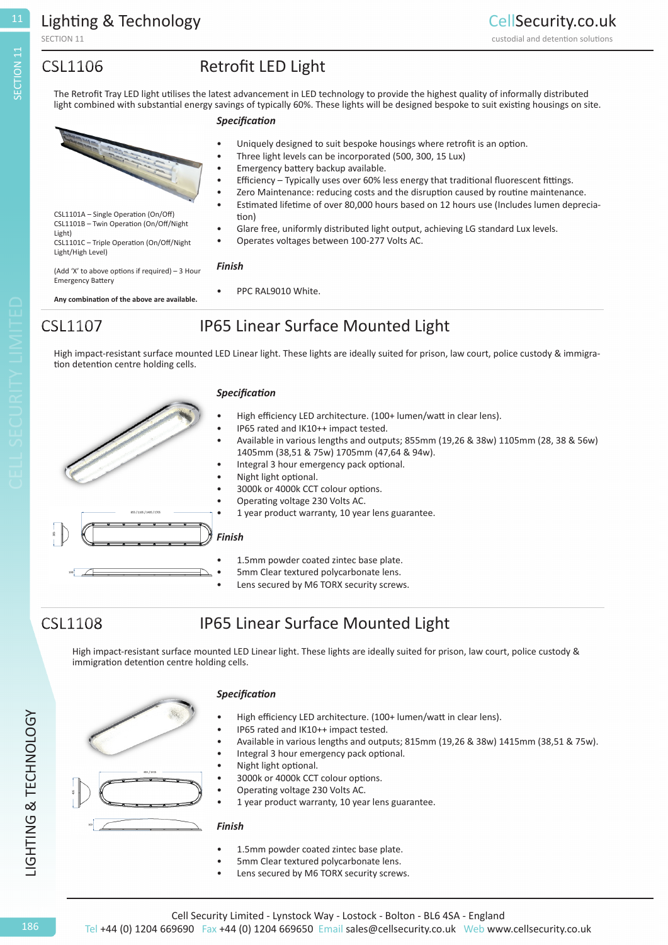SECTION 11

### **CSL1106**

### Retrofit LED Light

11

The Retrofit Tray LED light utilises the latest advancement in LED technology to provide the highest quality of informally distributed light combined with substantial energy savings of typically 60%. These lights will be designed bespoke to suit existing housings on site.

#### *Specification*

Uniquely designed to suit bespoke housings where retrofit is an option. • Three light levels can be incorporated (500, 300, 15 Lux) • Emergency battery backup available. • Efficiency – Typically uses over 60% less energy that traditional fluorescent fittings. • Zero Maintenance: reducing costs and the disruption caused by routine maintenance. • Estimated lifetime of over 80,000 hours based on 12 hours use (Includes lumen depreciation) • Glare free, uniformly distributed light output, achieving LG standard Lux levels. • Operates voltages between 100-277 Volts AC. *Finish* CSL1101A – Single Operation (On/Off) CSL1101B – Twin Operation (On/Off/Night Light) CSL1101C – Triple Operation (On/Off/Night Light/High Level)

PPC RAL9010 White.

(Add 'X' to above options if required) – 3 Hour Emergency Battery

**Any combination of the above are available.**

### CSL1107

### IP65 Linear Surface Mounted Light

High impact-resistant surface mounted LED Linear light. These lights are ideally suited for prison, law court, police custody & immigration detention centre holding cells.

#### *Specification*

- High efficiency LED architecture. (100+ lumen/watt in clear lens).
- IP65 rated and IK10++ impact tested.
- Available in various lengths and outputs; 855mm (19,26 & 38w) 1105mm (28, 38 & 56w) 1405mm (38,51 & 75w) 1705mm (47,64 & 94w).

custodial and detention solutions

- Integral 3 hour emergency pack optional.
- Night light optional.
- 3000k or 4000k CCT colour options.
- Operating voltage 230 Volts AC.
- 1 year product warranty, 10 year lens guarantee.
- *Finish*
	- 1.5mm powder coated zintec base plate.
- 5mm Clear textured polycarbonate lens.
- Lens secured by M6 TORX security screws.

### **CSL1108**

186

LIGHTING & TECHNOLOGY

LIGHTING & TECHNOLOGY

### IP65 Linear Surface Mounted Light

High impact-resistant surface mounted LED Linear light. These lights are ideally suited for prison, law court, police custody & immigration detention centre holding cells.

### *Specification*

- High efficiency LED architecture. (100+ lumen/watt in clear lens).
- IP65 rated and IK10++ impact tested.
- Available in various lengths and outputs; 815mm (19,26 & 38w) 1415mm (38,51 & 75w).
- Integral 3 hour emergency pack optional.
- Night light optional.
- 3000k or 4000k CCT colour options.
- Operating voltage 230 Volts AC.
- 1 year product warranty, 10 year lens guarantee.

#### *Finish*

- 1.5mm powder coated zintec base plate.
- 5mm Clear textured polycarbonate lens.
- Lens secured by M6 TORX security screws.